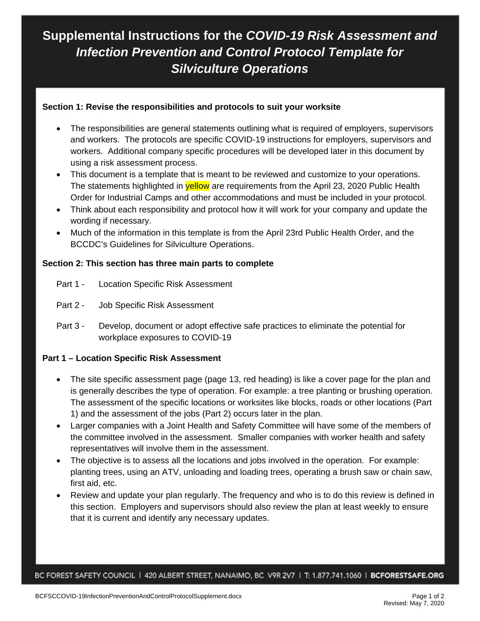# **Supplemental Instructions for the** *COVID-19 Risk Assessment and Infection Prevention and Control Protocol Template for Silviculture Operations*

#### **Section 1: Revise the responsibilities and protocols to suit your worksite**

- The responsibilities are general statements outlining what is required of employers, supervisors and workers. The protocols are specific COVID-19 instructions for employers, supervisors and workers. Additional company specific procedures will be developed later in this document by using a risk assessment process.
- This document is a template that is meant to be reviewed and customize to your operations. The statements highlighted in **yellow** are requirements from the April 23, 2020 Public Health Order for Industrial Camps and other accommodations and must be included in your protocol.
- Think about each responsibility and protocol how it will work for your company and update the wording if necessary.
- Much of the information in this template is from the April 23rd Public Health Order, and the BCCDC's Guidelines for Silviculture Operations.

#### **Section 2: This section has three main parts to complete**

- Part 1 Location Specific Risk Assessment
- Part 2 Job Specific Risk Assessment
- Part 3 Develop, document or adopt effective safe practices to eliminate the potential for workplace exposures to COVID-19

### **Part 1 – Location Specific Risk Assessment**

- The site specific assessment page (page 13, red heading) is like a cover page for the plan and is generally describes the type of operation. For example: a tree planting or brushing operation. The assessment of the specific locations or worksites like blocks, roads or other locations (Part 1) and the assessment of the jobs (Part 2) occurs later in the plan.
- Larger companies with a Joint Health and Safety Committee will have some of the members of the committee involved in the assessment. Smaller companies with worker health and safety representatives will involve them in the assessment.
- The objective is to assess all the locations and jobs involved in the operation. For example: planting trees, using an ATV, unloading and loading trees, operating a brush saw or chain saw, first aid, etc.
- Review and update your plan regularly. The frequency and who is to do this review is defined in this section. Employers and supervisors should also review the plan at least weekly to ensure that it is current and identify any necessary updates.

BC FOREST SAFETY COUNCIL | 420 ALBERT STREET, NANAIMO, BC V9R 2V7 | T: 1.877.741.1060 | BCFORESTSAFE.ORG